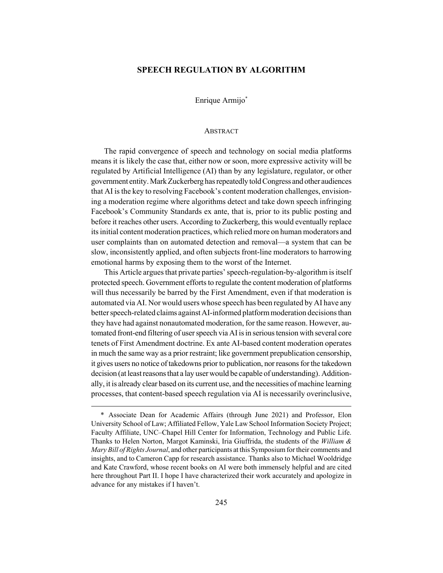## **SPEECH REGULATION BY ALGORITHM**

Enrique Armijo\*

#### ABSTRACT

The rapid convergence of speech and technology on social media platforms means it is likely the case that, either now or soon, more expressive activity will be regulated by Artificial Intelligence (AI) than by any legislature, regulator, or other government entity. Mark Zuckerberg has repeatedly told Congress and other audiences that AI is the key to resolving Facebook's content moderation challenges, envisioning a moderation regime where algorithms detect and take down speech infringing Facebook's Community Standards ex ante, that is, prior to its public posting and before it reaches other users. According to Zuckerberg, this would eventually replace its initial content moderation practices, which relied more on human moderators and user complaints than on automated detection and removal—a system that can be slow, inconsistently applied, and often subjects front-line moderators to harrowing emotional harms by exposing them to the worst of the Internet.

This Article argues that private parties' speech-regulation-by-algorithm is itself protected speech. Government efforts to regulate the content moderation of platforms will thus necessarily be barred by the First Amendment, even if that moderation is automated via AI. Nor would users whose speech has been regulated by AI have any better speech-related claims against AI-informed platform moderation decisions than they have had against nonautomated moderation, for the same reason. However, automated front-end filtering of user speech via AI is in serious tension with several core tenets of First Amendment doctrine. Ex ante AI-based content moderation operates in much the same way as a prior restraint; like government prepublication censorship, it gives users no notice of takedowns prior to publication, nor reasons for the takedown decision (at least reasons that a lay user would be capable of understanding). Additionally, it is already clear based on its current use, and the necessities of machine learning processes, that content-based speech regulation via AI is necessarily overinclusive,

<sup>\*</sup> Associate Dean for Academic Affairs (through June 2021) and Professor, Elon University School of Law; Affiliated Fellow, Yale Law School Information Society Project; Faculty Affiliate, UNC–Chapel Hill Center for Information, Technology and Public Life. Thanks to Helen Norton, Margot Kaminski, Iria Giuffrida, the students of the *William & Mary Bill of Rights Journal*, and other participants at this Symposium for their comments and insights, and to Cameron Capp for research assistance. Thanks also to Michael Wooldridge and Kate Crawford, whose recent books on AI were both immensely helpful and are cited here throughout Part II. I hope I have characterized their work accurately and apologize in advance for any mistakes if I haven't.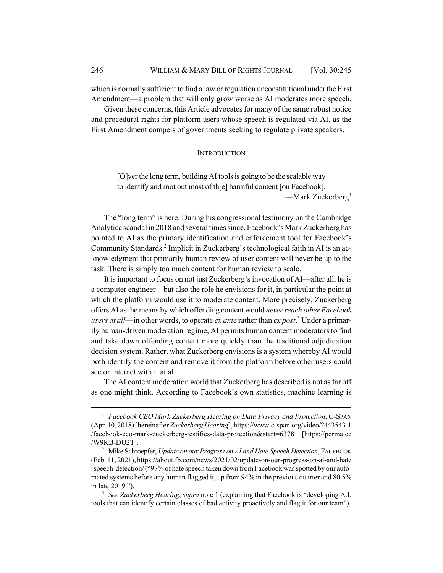which is normally sufficient to find a law or regulation unconstitutional under the First Amendment—a problem that will only grow worse as AI moderates more speech.

Given these concerns, this Article advocates for many of the same robust notice and procedural rights for platform users whose speech is regulated via AI, as the First Amendment compels of governments seeking to regulate private speakers.

#### **INTRODUCTION**

[O]ver the long term, building AI tools is going to be the scalable way to identify and root out most of th[e] harmful content [on Facebook]. —Mark Zuckerberg $<sup>1</sup>$ </sup>

The "long term" is here. During his congressional testimony on the Cambridge Analytica scandal in 2018 and several times since, Facebook's Mark Zuckerberg has pointed to AI as the primary identification and enforcement tool for Facebook's Community Standards.<sup>2</sup> Implicit in Zuckerberg's technological faith in AI is an acknowledgment that primarily human review of user content will never be up to the task. There is simply too much content for human review to scale.

It is important to focus on not just Zuckerberg's invocation of AI—after all, he is a computer engineer—but also the role he envisions for it, in particular the point at which the platform would use it to moderate content. More precisely, Zuckerberg offers AI as the means by which offending content would *never reach other Facebook users at all*—in other words, to operate *ex ante* rather than *ex post*. 3 Under a primarily human-driven moderation regime, AI permits human content moderators to find and take down offending content more quickly than the traditional adjudication decision system. Rather, what Zuckerberg envisions is a system whereby AI would both identify the content and remove it from the platform before other users could see or interact with it at all.

The AI content moderation world that Zuckerberg has described is not as far off as one might think. According to Facebook's own statistics, machine learning is

<sup>1</sup> *Facebook CEO Mark Zuckerberg Hearing on Data Privacy and Protection*, C-SPAN (Apr. 10, 2018) [hereinafter *Zuckerberg Hearing*], https://www.c-span.org/video/?443543-1 /facebook-ceo-mark-zuckerberg-testifies-data-protection&start=6378 [https://perma.cc /W9KB-DU2T].

<sup>&</sup>lt;sup>2</sup> Mike Schroepfer, *Update on our Progress on AI and Hate Speech Detection*, FACEBOOK (Feb. 11, 2021), https://about.fb.com/news/2021/02/update-on-our-progress-on-ai-and-hate -speech-detection/ ("97% of hate speech taken down from Facebook was spotted by our automated systems before any human flagged it, up from 94% in the previous quarter and 80.5% in late 2019.").

<sup>3</sup> *See Zuckerberg Hearing*, *supra* note 1 (explaining that Facebook is "developing A.I. tools that can identify certain classes of bad activity proactively and flag it for our team").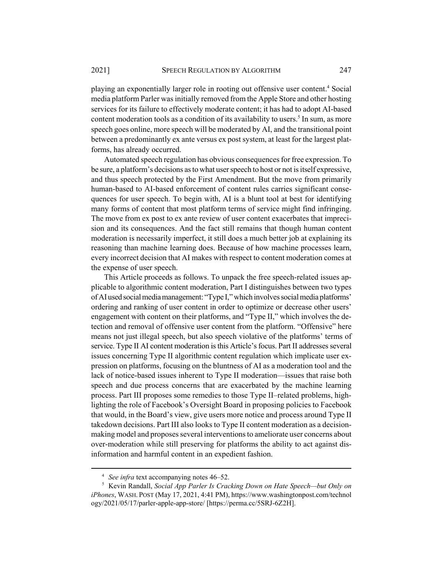playing an exponentially larger role in rooting out offensive user content.<sup>4</sup> Social media platform Parler was initially removed from the Apple Store and other hosting services for its failure to effectively moderate content; it has had to adopt AI-based content moderation tools as a condition of its availability to users.<sup>5</sup> In sum, as more speech goes online, more speech will be moderated by AI, and the transitional point between a predominantly ex ante versus ex post system, at least for the largest platforms, has already occurred.

Automated speech regulation has obvious consequences for free expression. To be sure, a platform's decisions as to what user speech to host or not is itself expressive, and thus speech protected by the First Amendment. But the move from primarily human-based to AI-based enforcement of content rules carries significant consequences for user speech. To begin with, AI is a blunt tool at best for identifying many forms of content that most platform terms of service might find infringing. The move from ex post to ex ante review of user content exacerbates that imprecision and its consequences. And the fact still remains that though human content moderation is necessarily imperfect, it still does a much better job at explaining its reasoning than machine learning does. Because of how machine processes learn, every incorrect decision that AI makes with respect to content moderation comes at the expense of user speech.

This Article proceeds as follows. To unpack the free speech-related issues applicable to algorithmic content moderation, Part I distinguishes between two types of AI used social media management: "Type I," which involves social media platforms' ordering and ranking of user content in order to optimize or decrease other users' engagement with content on their platforms, and "Type II," which involves the detection and removal of offensive user content from the platform. "Offensive" here means not just illegal speech, but also speech violative of the platforms' terms of service. Type II AI content moderation is this Article's focus. Part II addresses several issues concerning Type II algorithmic content regulation which implicate user expression on platforms, focusing on the bluntness of AI as a moderation tool and the lack of notice-based issues inherent to Type II moderation—issues that raise both speech and due process concerns that are exacerbated by the machine learning process. Part III proposes some remedies to those Type II–related problems, highlighting the role of Facebook's Oversight Board in proposing policies to Facebook that would, in the Board's view, give users more notice and process around Type II takedown decisions. Part III also looks to Type II content moderation as a decisionmaking model and proposes several interventions to ameliorate user concerns about over-moderation while still preserving for platforms the ability to act against disinformation and harmful content in an expedient fashion.

<sup>4</sup> *See infra* text accompanying notes 46–52.

<sup>5</sup> Kevin Randall, *Social App Parler Is Cracking Down on Hate Speech—but Only on iPhones*, WASH. POST (May 17, 2021, 4:41 PM), https://www.washingtonpost.com/technol ogy/2021/05/17/parler-apple-app-store/ [https://perma.cc/5SRJ-6Z2H].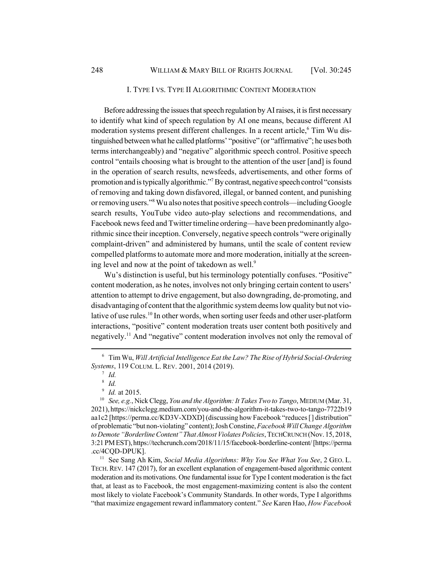### I. TYPE I VS. TYPE II ALGORITHMIC CONTENT MODERATION

Before addressing the issues that speech regulation by AI raises, it is first necessary to identify what kind of speech regulation by AI one means, because different AI moderation systems present different challenges. In a recent article,<sup>6</sup> Tim Wu distinguished between what he called platforms' "positive" (or "affirmative"; he uses both terms interchangeably) and "negative" algorithmic speech control. Positive speech control "entails choosing what is brought to the attention of the user [and] is found in the operation of search results, newsfeeds, advertisements, and other forms of promotion and is typically algorithmic."<sup>7</sup> By contrast, negative speech control "consists of removing and taking down disfavored, illegal, or banned content, and punishing or removing users."8 Wu also notes that positive speech controls—including Google search results, YouTube video auto-play selections and recommendations, and Facebook news feed and Twitter timeline ordering—have been predominantly algorithmic since their inception. Conversely, negative speech controls "were originally complaint-driven" and administered by humans, until the scale of content review compelled platforms to automate more and more moderation, initially at the screening level and now at the point of takedown as well.<sup>9</sup>

Wu's distinction is useful, but his terminology potentially confuses. "Positive" content moderation, as he notes, involves not only bringing certain content to users' attention to attempt to drive engagement, but also downgrading, de-promoting, and disadvantaging of content that the algorithmic system deems low quality but not violative of use rules.<sup>10</sup> In other words, when sorting user feeds and other user-platform interactions, "positive" content moderation treats user content both positively and negatively.11 And "negative" content moderation involves not only the removal of

<sup>11</sup> See Sang Ah Kim, *Social Media Algorithms: Why You See What You See*, 2 GEO. L. TECH.REV. 147 (2017), for an excellent explanation of engagement-based algorithmic content moderation and its motivations. One fundamental issue for Type I content moderation is the fact that, at least as to Facebook, the most engagement-maximizing content is also the content most likely to violate Facebook's Community Standards. In other words, Type I algorithms "that maximize engagement reward inflammatory content." *See* Karen Hao, *How Facebook*

<sup>6</sup> Tim Wu, *Will Artificial Intelligence Eat the Law? The Rise of Hybrid Social-Ordering Systems*, 119 COLUM. L. REV. 2001, 2014 (2019).

 $^7$  *Id.* 

<sup>8</sup> *Id.*

<sup>9</sup> *Id.* at 2015.

<sup>10</sup> *See, e.g.*, Nick Clegg, *You and the Algorithm: It Takes Two to Tango*, MEDIUM (Mar. 31, 2021), https://nickclegg.medium.com/you-and-the-algorithm-it-takes-two-to-tango-7722b19 aa1c2 [https://perma.cc/KD3V-XDXD] (discussing how Facebook "reduces [] distribution" of problematic "but non-violating" content); Josh Constine, *Facebook Will Change Algorithm to Demote "Borderline Content" That Almost Violates Policies*, TECHCRUNCH (Nov. 15, 2018, 3:21 PM EST), https://techcrunch.com/2018/11/15/facebook-borderline-content/ [https://perma .cc/4CQD-DPUK].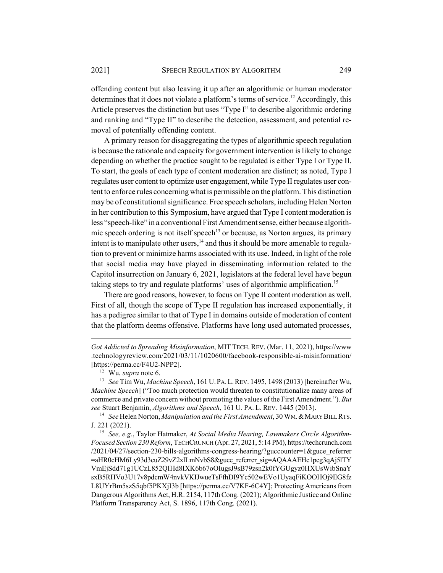offending content but also leaving it up after an algorithmic or human moderator determines that it does not violate a platform's terms of service.<sup>12</sup> Accordingly, this Article preserves the distinction but uses "Type I" to describe algorithmic ordering and ranking and "Type II" to describe the detection, assessment, and potential removal of potentially offending content.

A primary reason for disaggregating the types of algorithmic speech regulation is because the rationale and capacity for government intervention is likely to change depending on whether the practice sought to be regulated is either Type I or Type II. To start, the goals of each type of content moderation are distinct; as noted, Type I regulates user content to optimize user engagement, while Type II regulates user content to enforce rules concerning what is permissible on the platform. This distinction may be of constitutional significance. Free speech scholars, including Helen Norton in her contribution to this Symposium, have argued that Type I content moderation is less "speech-like" in a conventional First Amendment sense, either because algorithmic speech ordering is not itself speech<sup>13</sup> or because, as Norton argues, its primary intent is to manipulate other users, $14$  and thus it should be more amenable to regulation to prevent or minimize harms associated with its use. Indeed, in light of the role that social media may have played in disseminating information related to the Capitol insurrection on January 6, 2021, legislators at the federal level have begun taking steps to try and regulate platforms' uses of algorithmic amplification.<sup>15</sup>

There are good reasons, however, to focus on Type II content moderation as well. First of all, though the scope of Type II regulation has increased exponentially, it has a pedigree similar to that of Type I in domains outside of moderation of content that the platform deems offensive. Platforms have long used automated processes,

*Got Addicted to Spreading Misinformation*, MIT TECH. REV. (Mar. 11, 2021), https://www .technologyreview.com/2021/03/11/1020600/facebook-responsible-ai-misinformation/ [https://perma.cc/F4U2-NPP2].

<sup>12</sup> Wu, *supra* note 6.

<sup>13</sup> *See* Tim Wu, *Machine Speech*, 161 U.PA.L.REV. 1495, 1498 (2013) [hereinafter Wu, *Machine Speech*] ("Too much protection would threaten to constitutionalize many areas of commerce and private concern without promoting the values of the First Amendment."). *But see* Stuart Benjamin, *Algorithms and Speech*, 161 U. PA. L. REV. 1445 (2013).

<sup>&</sup>lt;sup>14</sup> *See* Helen Norton, *Manipulation and the First Amendment*, 30 WM. & MARY BILL RTS. J. 221 (2021).

<sup>15</sup> *See, e.g.*, Taylor Hatmaker, *At Social Media Hearing, Lawmakers Circle Algorithm-Focused Section 230 Reform*, TECHCRUNCH (Apr. 27, 2021, 5:14 PM), https://techcrunch.com /2021/04/27/section-230-bills-algorithms-congress-hearing/?guccounter=1&guce\_referrer =aHR0cHM6Ly93d3cuZ29vZ2xlLmNvbS8&guce\_referrer\_sig=AQAAAEHe1peg3qAj5lTY VmEjSdd71g1UCzL852QIHd8IXK6b67oOIugsJ9sB79zsn2k0fYGUgyz0HXUsWibSnaY sxB5RHVo3U17v8pdcmW4nvkVKIJwueTsFfhDI9Yc502wEVo1UyaqFiKOOHOj9EG8fz L8UYrBm5szS5qbf5PKXjI3b [https://perma.cc/V7KF-6C4Y]; Protecting Americans from Dangerous Algorithms Act, H.R. 2154, 117th Cong. (2021); Algorithmic Justice and Online Platform Transparency Act, S. 1896, 117th Cong. (2021).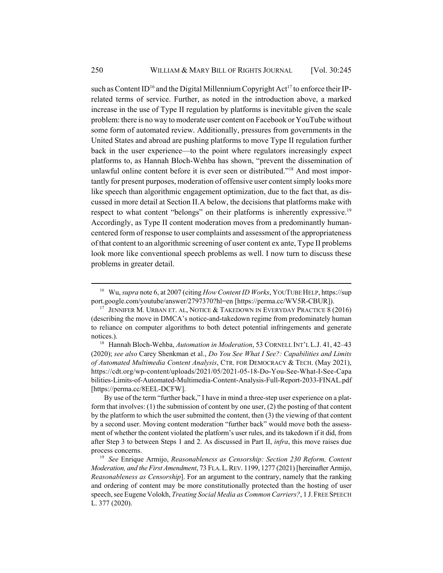such as Content ID<sup>16</sup> and the Digital Millennium Copyright Act<sup>17</sup> to enforce their IPrelated terms of service. Further, as noted in the introduction above, a marked increase in the use of Type II regulation by platforms is inevitable given the scale problem: there is no way to moderate user content on Facebook or YouTube without some form of automated review. Additionally, pressures from governments in the United States and abroad are pushing platforms to move Type II regulation further back in the user experience—to the point where regulators increasingly expect platforms to, as Hannah Bloch-Wehba has shown, "prevent the dissemination of unlawful online content before it is ever seen or distributed."<sup>18</sup> And most importantly for present purposes, moderation of offensive user content simply looks more like speech than algorithmic engagement optimization, due to the fact that, as discussed in more detail at Section II.A below, the decisions that platforms make with respect to what content "belongs" on their platforms is inherently expressive.<sup>19</sup> Accordingly, as Type II content moderation moves from a predominantly humancentered form of response to user complaints and assessment of the appropriateness of that content to an algorithmic screening of user content ex ante, Type II problems look more like conventional speech problems as well. I now turn to discuss these problems in greater detail.

<sup>16</sup> Wu, *supra* note 6, at 2007 (citing *How Content ID Works*, YOUTUBE HELP, https://sup port.google.com/youtube/answer/2797370?hl=en [https://perma.cc/WV5R-CBUR]).

<sup>&</sup>lt;sup>17</sup> JENNIFER M. URBAN ET. AL, NOTICE & TAKEDOWN IN EVERYDAY PRACTICE  $8(2016)$ (describing the move in DMCA's notice-and-takedown regime from predominately human to reliance on computer algorithms to both detect potential infringements and generate notices.).

<sup>&</sup>lt;sup>18</sup> Hannah Bloch-Wehba, *Automation in Moderation*, 53 CORNELL INT'L L.J. 41, 42-43 (2020); *see also* Carey Shenkman et al., *Do You See What I See?: Capabilities and Limits of Automated Multimedia Content Analysis*, CTR. FOR DEMOCRACY & TECH. (May 2021), https://cdt.org/wp-content/uploads/2021/05/2021-05-18-Do-You-See-What-I-See-Capa bilities-Limits-of-Automated-Multimedia-Content-Analysis-Full-Report-2033-FINAL.pdf [https://perma.cc/8EEL-DCFW].

By use of the term "further back," I have in mind a three-step user experience on a platform that involves: (1) the submission of content by one user, (2) the posting of that content by the platform to which the user submitted the content, then (3) the viewing of that content by a second user. Moving content moderation "further back" would move both the assessment of whether the content violated the platform's user rules, and its takedown if it did, from after Step 3 to between Steps 1 and 2. As discussed in Part II, *infra*, this move raises due process concerns.

<sup>19</sup> *See* Enrique Armijo, *Reasonableness as Censorship: Section 230 Reform, Content Moderation, and the First Amendment*, 73 FLA.L.REV. 1199, 1277 (2021) [hereinafter Armijo, *Reasonableness as Censorship*]. For an argument to the contrary, namely that the ranking and ordering of content may be more constitutionally protected than the hosting of user speech, see Eugene Volokh, *Treating Social Media as Common Carriers?*, 1 J.FREE SPEECH L. 377 (2020).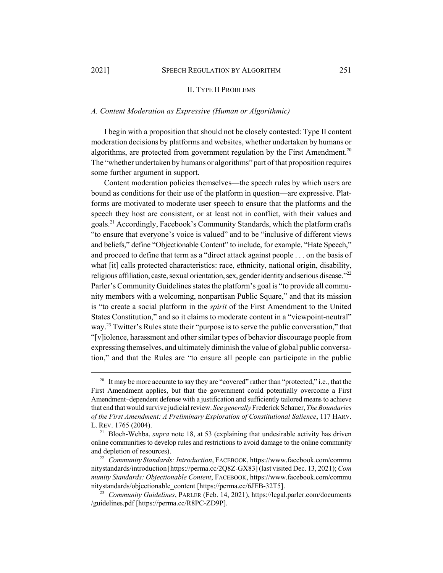#### II. TYPE II PROBLEMS

### *A. Content Moderation as Expressive (Human or Algorithmic)*

I begin with a proposition that should not be closely contested: Type II content moderation decisions by platforms and websites, whether undertaken by humans or algorithms, are protected from government regulation by the First Amendment.<sup>20</sup> The "whether undertaken by humans or algorithms" part of that proposition requires some further argument in support.

Content moderation policies themselves—the speech rules by which users are bound as conditions for their use of the platform in question—are expressive. Platforms are motivated to moderate user speech to ensure that the platforms and the speech they host are consistent, or at least not in conflict, with their values and goals.21 Accordingly, Facebook's Community Standards, which the platform crafts "to ensure that everyone's voice is valued" and to be "inclusive of different views and beliefs," define "Objectionable Content" to include, for example, "Hate Speech," and proceed to define that term as a "direct attack against people . . . on the basis of what [it] calls protected characteristics: race, ethnicity, national origin, disability, religious affiliation, caste, sexual orientation, sex, gender identity and serious disease."22 Parler's Community Guidelines states the platform's goal is "to provide all community members with a welcoming, nonpartisan Public Square," and that its mission is "to create a social platform in the *spirit* of the First Amendment to the United States Constitution," and so it claims to moderate content in a "viewpoint-neutral" way.<sup>23</sup> Twitter's Rules state their "purpose is to serve the public conversation," that "[v]iolence, harassment and other similar types of behavior discourage people from expressing themselves, and ultimately diminish the value of global public conversation," and that the Rules are "to ensure all people can participate in the public

<sup>&</sup>lt;sup>20</sup> It may be more accurate to say they are "covered" rather than "protected," i.e., that the First Amendment applies, but that the government could potentially overcome a First Amendment–dependent defense with a justification and sufficiently tailored means to achieve that end that would survive judicial review. *See generally* Frederick Schauer, *The Boundaries of the First Amendment: A Preliminary Exploration of Constitutional Salience*, 117 HARV. L. REV. 1765 (2004).

<sup>&</sup>lt;sup>21</sup> Bloch-Wehba, *supra* note 18, at 53 (explaining that undesirable activity has driven online communities to develop rules and restrictions to avoid damage to the online community and depletion of resources).

<sup>22</sup> *Community Standards: Introduction*, FACEBOOK, https://www.facebook.com/commu nitystandards/introduction [https://perma.cc/2Q8Z-GX83] (last visited Dec. 13, 2021); *Com munity Standards: Objectionable Content*, FACEBOOK, https://www.facebook.com/commu nitystandards/objectionable\_content [https://perma.cc/6JEB-32T5].

<sup>23</sup> *Community Guidelines*, PARLER (Feb. 14, 2021), https://legal.parler.com/documents /guidelines.pdf [https://perma.cc/R8PC-ZD9P].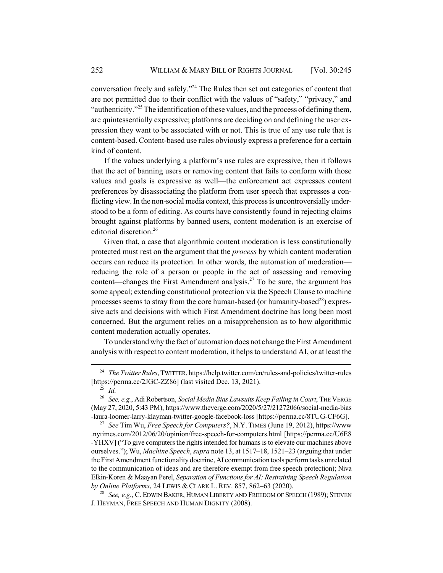conversation freely and safely."24 The Rules then set out categories of content that are not permitted due to their conflict with the values of "safety," "privacy," and "authenticity."<sup>25</sup> The identification of these values, and the process of defining them, are quintessentially expressive; platforms are deciding on and defining the user expression they want to be associated with or not. This is true of any use rule that is content-based. Content-based use rules obviously express a preference for a certain kind of content.

If the values underlying a platform's use rules are expressive, then it follows that the act of banning users or removing content that fails to conform with those values and goals is expressive as well—the enforcement act expresses content preferences by disassociating the platform from user speech that expresses a conflicting view. In the non-social media context, this process is uncontroversially understood to be a form of editing. As courts have consistently found in rejecting claims brought against platforms by banned users, content moderation is an exercise of editorial discretion.<sup>26</sup>

Given that, a case that algorithmic content moderation is less constitutionally protected must rest on the argument that the *process* by which content moderation occurs can reduce its protection. In other words, the automation of moderation reducing the role of a person or people in the act of assessing and removing content—changes the First Amendment analysis.<sup>27</sup> To be sure, the argument has some appeal; extending constitutional protection via the Speech Clause to machine processes seems to stray from the core human-based (or humanity-based<sup>28</sup>) expressive acts and decisions with which First Amendment doctrine has long been most concerned. But the argument relies on a misapprehension as to how algorithmic content moderation actually operates.

To understand why the fact of automation does not change the First Amendment analysis with respect to content moderation, it helps to understand AI, or at least the

<sup>28</sup> *See, e.g.*, C. EDWIN BAKER, HUMAN LIBERTY AND FREEDOM OF SPEECH (1989); STEVEN J. HEYMAN, FREE SPEECH AND HUMAN DIGNITY (2008).

<sup>&</sup>lt;sup>24</sup> *The Twitter Rules*, TWITTER, https://help.twitter.com/en/rules-and-policies/twitter-rules [https://perma.cc/2JGC-ZZ86] (last visited Dec. 13, 2021).

<sup>25</sup> *Id.*

<sup>26</sup> *See, e.g.*, Adi Robertson, *Social Media Bias Lawsuits Keep Failing in Court*, THE VERGE (May 27, 2020, 5:43 PM), https://www.theverge.com/2020/5/27/21272066/social-media-bias -laura-loomer-larry-klayman-twitter-google-facebook-loss [https://perma.cc/8TUG-CF6G].

<sup>27</sup> *See* Tim Wu, *Free Speech for Computers?*, N.Y. TIMES (June 19, 2012), https://www .nytimes.com/2012/06/20/opinion/free-speech-for-computers.html [https://perma.cc/U6E8 -YHXV] ("To give computers the rights intended for humans is to elevate our machines above ourselves."); Wu, *Machine Speech*, *supra* note 13, at 1517–18, 1521–23 (arguing that under the First Amendment functionality doctrine, AI communication tools perform tasks unrelated to the communication of ideas and are therefore exempt from free speech protection); Niva Elkin-Koren & Maayan Perel, *Separation of Functions for AI: Restraining Speech Regulation by Online Platforms*, 24 LEWIS & CLARK L. REV. 857, 862–63 (2020).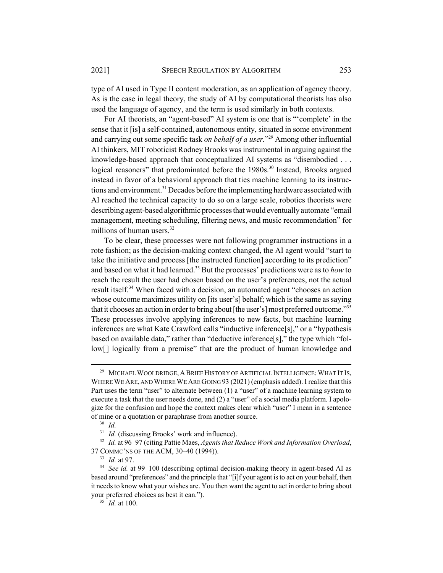type of AI used in Type II content moderation, as an application of agency theory. As is the case in legal theory, the study of AI by computational theorists has also used the language of agency, and the term is used similarly in both contexts.

For AI theorists, an "agent-based" AI system is one that is "'complete' in the sense that it [is] a self-contained, autonomous entity, situated in some environment and carrying out some specific task *on behalf of a user.*"29 Among other influential AI thinkers, MIT roboticist Rodney Brooks was instrumental in arguing against the knowledge-based approach that conceptualized AI systems as "disembodied . . . logical reasoners" that predominated before the 1980s.<sup>30</sup> Instead, Brooks argued instead in favor of a behavioral approach that ties machine learning to its instructions and environment.<sup>31</sup> Decades before the implementing hardware associated with AI reached the technical capacity to do so on a large scale, robotics theorists were describing agent-based algorithmic processes that would eventually automate "email management, meeting scheduling, filtering news, and music recommendation" for millions of human users.<sup>32</sup>

To be clear, these processes were not following programmer instructions in a rote fashion; as the decision-making context changed, the AI agent would "start to take the initiative and process [the instructed function] according to its prediction" and based on what it had learned.33 But the processes' predictions were as to *how* to reach the result the user had chosen based on the user's preferences, not the actual result itself.<sup>34</sup> When faced with a decision, an automated agent "chooses an action whose outcome maximizes utility on [its user's] behalf; which is the same as saying that it chooses an action in order to bring about [the user's] most preferred outcome."35 These processes involve applying inferences to new facts, but machine learning inferences are what Kate Crawford calls "inductive inference[s]," or a "hypothesis based on available data," rather than "deductive inference[s]," the type which "follow<sup>[]</sup> logically from a premise" that are the product of human knowledge and

<sup>&</sup>lt;sup>29</sup> MICHAEL WOOLDRIDGE, A BRIEF HISTORY OF ARTIFICIAL INTELLIGENCE: WHAT IT Is, WHERE WE ARE, AND WHERE WE ARE GOING 93 (2021) (emphasis added). I realize that this Part uses the term "user" to alternate between (1) a "user" of a machine learning system to execute a task that the user needs done, and (2) a "user" of a social media platform. I apologize for the confusion and hope the context makes clear which "user" I mean in a sentence of mine or a quotation or paraphrase from another source.

<sup>30</sup> *Id.*

<sup>&</sup>lt;sup>31</sup> *Id.* (discussing Brooks' work and influence).

<sup>32</sup> *Id.* at 96–97 (citing Pattie Maes, *Agents that Reduce Work and Information Overload*, 37 COMMC'NS OF THE ACM, 30–40 (1994)).

<sup>33</sup> *Id.* at 97.

<sup>34</sup> *See id.* at 99–100 (describing optimal decision-making theory in agent-based AI as based around "preferences" and the principle that "[i]f your agent is to act on your behalf, then it needs to know what your wishes are. You then want the agent to act in order to bring about your preferred choices as best it can.").

<sup>35</sup> *Id.* at 100.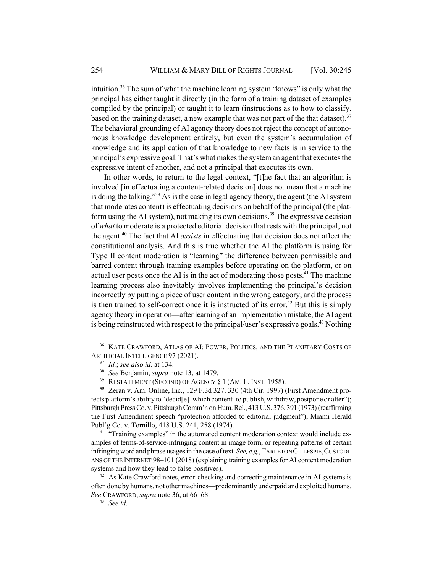intuition.<sup>36</sup> The sum of what the machine learning system "knows" is only what the principal has either taught it directly (in the form of a training dataset of examples compiled by the principal) or taught it to learn (instructions as to how to classify, based on the training dataset, a new example that was not part of the that dataset).<sup>37</sup> The behavioral grounding of AI agency theory does not reject the concept of autonomous knowledge development entirely, but even the system's accumulation of knowledge and its application of that knowledge to new facts is in service to the principal's expressive goal. That's what makes the system an agent that executes the expressive intent of another, and not a principal that executes its own.

In other words, to return to the legal context, "[t]he fact that an algorithm is involved [in effectuating a content-related decision] does not mean that a machine is doing the talking."38 As is the case in legal agency theory, the agent (the AI system that moderates content) is effectuating decisions on behalf of the principal (the platform using the AI system), not making its own decisions.<sup>39</sup> The expressive decision of *what* to moderate is a protected editorial decision that rests with the principal, not the agent.40 The fact that AI *assists* in effectuating that decision does not affect the constitutional analysis. And this is true whether the AI the platform is using for Type II content moderation is "learning" the difference between permissible and barred content through training examples before operating on the platform, or on actual user posts once the AI is in the act of moderating those posts.<sup>41</sup> The machine learning process also inevitably involves implementing the principal's decision incorrectly by putting a piece of user content in the wrong category, and the process is then trained to self-correct once it is instructed of its error.<sup>42</sup> But this is simply agency theory in operation—after learning of an implementation mistake, the AI agent is being reinstructed with respect to the principal/user's expressive goals.<sup>43</sup> Nothing

<sup>41</sup> "Training examples" in the automated content moderation context would include examples of terms-of-service-infringing content in image form, or repeating patterns of certain infringing word and phrase usages in the case of text. *See, e.g.*, TARLETON GILLESPIE,CUSTODI-ANS OF THE INTERNET 98–101 (2018) (explaining training examples for AI content moderation systems and how they lead to false positives).

<sup>&</sup>lt;sup>36</sup> KATE CRAWFORD, ATLAS OF AI: POWER, POLITICS, AND THE PLANETARY COSTS OF ARTIFICIAL INTELLIGENCE 97 (2021).

<sup>37</sup> *Id.*; *see also id.* at 134.

<sup>38</sup> *See* Benjamin, *supra* note 13, at 1479.

<sup>&</sup>lt;sup>39</sup> RESTATEMENT (SECOND) OF AGENCY  $\S$  1 (AM. L. INST. 1958).

<sup>40</sup> Zeran v. Am. Online, Inc., 129 F.3d 327, 330 (4th Cir. 1997) (First Amendment protects platform's ability to "decid[e] [which content] to publish, withdraw, postpone or alter"); Pittsburgh Press Co. v. Pittsburgh Comm'n on Hum. Rel., 413 U.S. 376, 391 (1973) (reaffirming the First Amendment speech "protection afforded to editorial judgment"); Miami Herald Publ'g Co. v. Tornillo, 418 U.S. 241, 258 (1974).

 $42$  As Kate Crawford notes, error-checking and correcting maintenance in AI systems is often done by humans, not other machines—predominantly underpaid and exploited humans. *See* CRAWFORD, *supra* note 36, at 66–68.

<sup>43</sup> *See id.*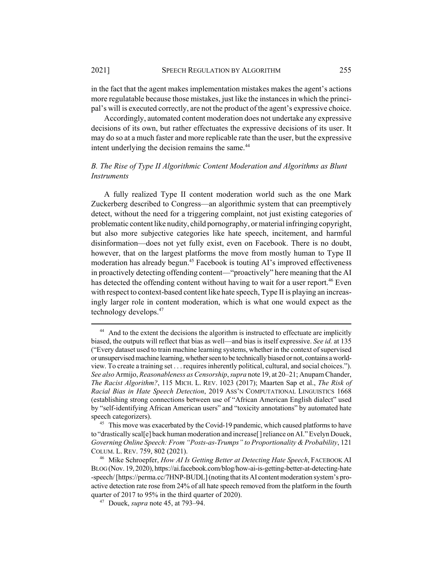in the fact that the agent makes implementation mistakes makes the agent's actions more regulatable because those mistakes, just like the instances in which the principal's will is executed correctly, are not the product of the agent's expressive choice.

Accordingly, automated content moderation does not undertake any expressive decisions of its own, but rather effectuates the expressive decisions of its user. It may do so at a much faster and more replicable rate than the user, but the expressive intent underlying the decision remains the same.<sup>44</sup>

# *B. The Rise of Type II Algorithmic Content Moderation and Algorithms as Blunt Instruments*

A fully realized Type II content moderation world such as the one Mark Zuckerberg described to Congress—an algorithmic system that can preemptively detect, without the need for a triggering complaint, not just existing categories of problematic content like nudity, child pornography, or material infringing copyright, but also more subjective categories like hate speech, incitement, and harmful disinformation—does not yet fully exist, even on Facebook. There is no doubt, however, that on the largest platforms the move from mostly human to Type II moderation has already begun.<sup>45</sup> Facebook is touting AI's improved effectiveness in proactively detecting offending content—"proactively" here meaning that the AI has detected the offending content without having to wait for a user report.<sup>46</sup> Even with respect to context-based content like hate speech, Type II is playing an increasingly larger role in content moderation, which is what one would expect as the technology develops.<sup>47</sup>

<sup>&</sup>lt;sup>44</sup> And to the extent the decisions the algorithm is instructed to effectuate are implicitly biased, the outputs will reflect that bias as well—and bias is itself expressive. *See id.* at 135 ("Every dataset used to train machine learning systems, whether in the context of supervised or unsupervised machine learning, whether seen to be technically biased or not, contains a worldview. To create a training set . . . requires inherently political, cultural, and social choices."). *See also* Armijo, *Reasonableness as Censorship*, *supra* note 19, at 20–21; Anupam Chander, *The Racist Algorithm?*, 115 MICH. L. REV. 1023 (2017); Maarten Sap et al., *The Risk of Racial Bias in Hate Speech Detection*, 2019 ASS'N COMPUTATIONAL LINGUISTICS 1668 (establishing strong connections between use of "African American English dialect" used by "self-identifying African American users" and "toxicity annotations" by automated hate speech categorizers).

<sup>&</sup>lt;sup>45</sup> This move was exacerbated by the Covid-19 pandemic, which caused platforms to have to "drastically scal[e] back human moderation and increase[] reliance on AI." Evelyn Douek, *Governing Online Speech: From "Posts-as-Trumps" to Proportionality & Probability*, 121 COLUM. L. REV. 759, 802 (2021).

<sup>46</sup> Mike Schroepfer, *How AI Is Getting Better at Detecting Hate Speech*, FACEBOOK AI BLOG (Nov. 19, 2020), https://ai.facebook.com/blog/how-ai-is-getting-better-at-detecting-hate -speech/ [https://perma.cc/7HNP-BUDL] (noting that its AI content moderation system's proactive detection rate rose from 24% of all hate speech removed from the platform in the fourth quarter of 2017 to 95% in the third quarter of 2020).

<sup>47</sup> Douek, *supra* note 45, at 793–94.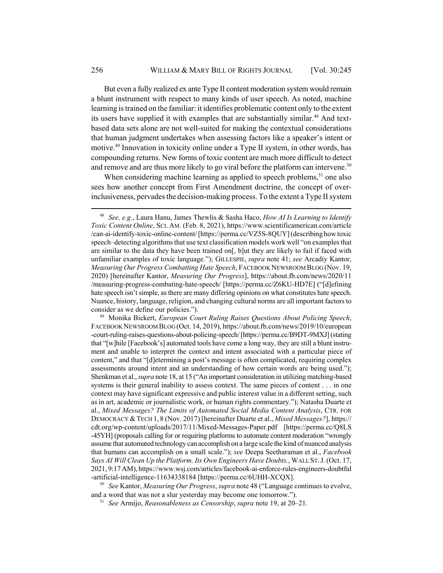But even a fully realized ex ante Type II content moderation system would remain a blunt instrument with respect to many kinds of user speech. As noted, machine learning is trained on the familiar: it identifies problematic content only to the extent its users have supplied it with examples that are substantially similar.<sup>48</sup> And textbased data sets alone are not well-suited for making the contextual considerations that human judgment undertakes when assessing factors like a speaker's intent or motive.<sup>49</sup> Innovation in toxicity online under a Type II system, in other words, has compounding returns. New forms of toxic content are much more difficult to detect and remove and are thus more likely to go viral before the platform can intervene.<sup>50</sup>

When considering machine learning as applied to speech problems,  $51$  one also sees how another concept from First Amendment doctrine, the concept of overinclusiveness, pervades the decision-making process. To the extent a Type II system

<sup>49</sup> Monika Bickert, *European Court Ruling Raises Questions About Policing Speech*, FACEBOOK NEWSROOM BLOG (Oct. 14, 2019), https://about.fb.com/news/2019/10/european -court-ruling-raises-questions-about-policing-speech/ [https://perma.cc/B9DT-9MXJ] (stating that "[w]hile [Facebook's] automated tools have come a long way, they are still a blunt instrument and unable to interpret the context and intent associated with a particular piece of content," and that "[d]etermining a post's message is often complicated, requiring complex assessments around intent and an understanding of how certain words are being used."); Shenkman et al., *supra* note 18, at 15 ("An important consideration in utilizing matching-based systems is their general inability to assess context. The same pieces of content . . . in one context may have significant expressive and public interest value in a different setting, such as in art, academic or journalistic work, or human rights commentary."); Natasha Duarte et al., *Mixed Messages? The Limits of Automated Social Media Content Analysis*, CTR. FOR DEMOCRACY &TECH 1, 8 (Nov. 2017) [hereinafter Duarte et al., *Mixed Messages?*], https:// cdt.org/wp-content/uploads/2017/11/Mixed-Messages-Paper.pdf [https://perma.cc/Q8LS -45YH] (proposals calling for or requiring platforms to automate content moderation "wrongly assume that automated technology can accomplish on a large scale the kind of nuanced analysis that humans can accomplish on a small scale."); *see* Deepa Seetharaman et al., *Facebook Says AI Will Clean Up the Platform. Its Own Engineers Have Doubts.*, WALL ST.J. (Oct. 17, 2021, 9:17 AM), https://www.wsj.com/articles/facebook-ai-enforce-rules-engineers-doubtful -artificial-intelligence-11634338184 [https://perma.cc/6UHH-XCQX].

<sup>50</sup> *See* Kantor, *Measuring Our Progress*, *supra* note 48 ("Language continues to evolve, and a word that was not a slur yesterday may become one tomorrow.").

<sup>51</sup> *See* Armijo, *Reasonableness as Censorship*, *supra* note 19, at 20–21.

<sup>48</sup> *See, e.g.*, Laura Hanu, James Thewlis & Sasha Haco, *How AI Is Learning to Identify Toxic Content Online*, SCI. AM. (Feb. 8, 2021), https://www.scientificamerican.com/article /can-ai-identify-toxic-online-content/ [https://perma.cc/VZ5S-8QUY] (describing how toxic speech–detecting algorithms that use text classification models work well "on examples that are similar to the data they have been trained on[, b]ut they are likely to fail if faced with unfamiliar examples of toxic language."); GILLESPIE, *supra* note 41; *see* Arcadiy Kantor, *Measuring Our Progress Combatting Hate Speech*, FACEBOOK NEWSROOM BLOG (Nov. 19, 2020) [hereinafter Kantor, *Measuring Our Progress*], https://about.fb.com/news/2020/11 /measuring-progress-combating-hate-speech/ [https://perma.cc/Z6KU-HD7E] ("[d]efining hate speech isn't simple, as there are many differing opinions on what constitutes hate speech. Nuance, history, language, religion, and changing cultural norms are all important factors to consider as we define our policies.").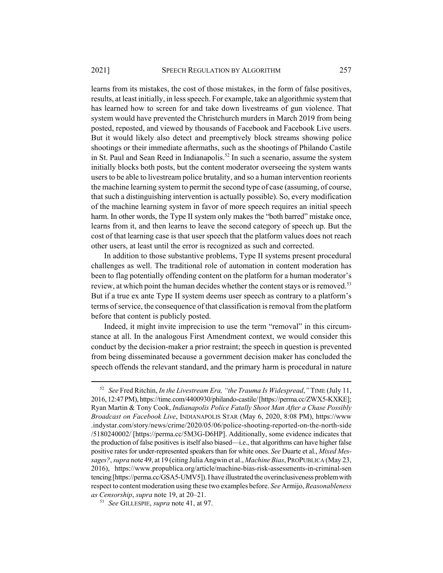learns from its mistakes, the cost of those mistakes, in the form of false positives, results, at least initially, in less speech. For example, take an algorithmic system that has learned how to screen for and take down livestreams of gun violence. That system would have prevented the Christchurch murders in March 2019 from being posted, reposted, and viewed by thousands of Facebook and Facebook Live users. But it would likely also detect and preemptively block streams showing police shootings or their immediate aftermaths, such as the shootings of Philando Castile in St. Paul and Sean Reed in Indianapolis.<sup>52</sup> In such a scenario, assume the system initially blocks both posts, but the content moderator overseeing the system wants users to be able to livestream police brutality, and so a human intervention reorients the machine learning system to permit the second type of case (assuming, of course, that such a distinguishing intervention is actually possible). So, every modification of the machine learning system in favor of more speech requires an initial speech harm. In other words, the Type II system only makes the "both barred" mistake once, learns from it, and then learns to leave the second category of speech up. But the cost of that learning case is that user speech that the platform values does not reach other users, at least until the error is recognized as such and corrected.

In addition to those substantive problems, Type II systems present procedural challenges as well. The traditional role of automation in content moderation has been to flag potentially offending content on the platform for a human moderator's review, at which point the human decides whether the content stays or is removed.<sup>53</sup> But if a true ex ante Type II system deems user speech as contrary to a platform's terms of service, the consequence of that classification is removal from the platform before that content is publicly posted.

Indeed, it might invite imprecision to use the term "removal" in this circumstance at all. In the analogous First Amendment context, we would consider this conduct by the decision-maker a prior restraint; the speech in question is prevented from being disseminated because a government decision maker has concluded the speech offends the relevant standard, and the primary harm is procedural in nature

<sup>52</sup> *See* Fred Ritchin, *In the Livestream Era, "the Trauma Is Widespread*,*"* TIME (July 11, 2016, 12:47 PM), https://time.com/4400930/philando-castile/ [https://perma.cc/ZWX5-KXKE]; Ryan Martin & Tony Cook, *Indianapolis Police Fatally Shoot Man After a Chase Possibly Broadcast on Facebook Live*, INDIANAPOLIS STAR (May 6, 2020, 8:08 PM), https://www .indystar.com/story/news/crime/2020/05/06/police-shooting-reported-on-the-north-side /5180240002/ [https://perma.cc/5M3G-D6HP]. Additionally, some evidence indicates that the production of false positives is itself also biased—i.e., that algorithms can have higher false positive rates for under-represented speakers than for white ones. *See* Duarte et al., *Mixed Messages?*, *supra* note 49, at 19 (citing Julia Angwin et al., *Machine Bias*, PROPUBLICA (May 23, 2016), https://www.propublica.org/article/machine-bias-risk-assessments-in-criminal-sen tencing [https://perma.cc/GSA5-UMV5]). I have illustrated the overinclusiveness problem with respect to content moderation using these two examples before. *See* Armijo, *Reasonableness as Censorship*, *supra* note 19, at 20–21.

<sup>53</sup> *See* GILLESPIE, *supra* note 41, at 97.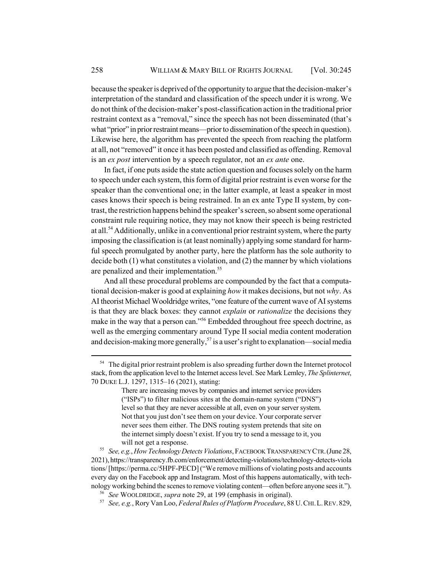because the speaker is deprived of the opportunity to argue that the decision-maker's interpretation of the standard and classification of the speech under it is wrong. We do not think of the decision-maker's post-classification action in the traditional prior restraint context as a "removal," since the speech has not been disseminated (that's what "prior" in prior restraint means—prior to dissemination of the speech in question). Likewise here, the algorithm has prevented the speech from reaching the platform at all, not "removed" it once it has been posted and classified as offending. Removal is an *ex post* intervention by a speech regulator, not an *ex ante* one.

In fact, if one puts aside the state action question and focuses solely on the harm to speech under each system, this form of digital prior restraint is even worse for the speaker than the conventional one; in the latter example, at least a speaker in most cases knows their speech is being restrained. In an ex ante Type II system, by contrast, the restriction happens behind the speaker's screen, so absent some operational constraint rule requiring notice, they may not know their speech is being restricted at all.<sup>54</sup> Additionally, unlike in a conventional prior restraint system, where the party imposing the classification is (at least nominally) applying some standard for harmful speech promulgated by another party, here the platform has the sole authority to decide both (1) what constitutes a violation, and (2) the manner by which violations are penalized and their implementation.<sup>55</sup>

And all these procedural problems are compounded by the fact that a computational decision-maker is good at explaining *how* it makes decisions, but not *why*. As AI theorist Michael Wooldridge writes, "one feature of the current wave of AI systems is that they are black boxes: they cannot *explain* or *rationalize* the decisions they make in the way that a person can."<sup>56</sup> Embedded throughout free speech doctrine, as well as the emerging commentary around Type II social media content moderation and decision-making more generally,<sup>57</sup> is a user's right to explanation—social media

<sup>&</sup>lt;sup>54</sup> The digital prior restraint problem is also spreading further down the Internet protocol stack, from the application level to the Internet access level. See Mark Lemley, *The Splinternet*, 70 DUKE L.J. 1297, 1315–16 (2021), stating:

There are increasing moves by companies and internet service providers ("ISPs") to filter malicious sites at the domain-name system ("DNS") level so that they are never accessible at all, even on your server system. Not that you just don't see them on your device. Your corporate server never sees them either. The DNS routing system pretends that site on the internet simply doesn't exist. If you try to send a message to it, you will not get a response.

<sup>55</sup> *See, e.g.*, *How Technology Detects Violations*, FACEBOOK TRANSPARENCY CTR.(June 28, 2021), https://transparency.fb.com/enforcement/detecting-violations/technology-detects-viola tions/ [https://perma.cc/5HPF-PECD] ("We remove millions of violating posts and accounts every day on the Facebook app and Instagram. Most of this happens automatically, with technology working behind the scenes to remove violating content—often before anyone sees it.").

<sup>56</sup> *See* WOOLDRIDGE, *supra* note 29, at 199 (emphasis in original).

<sup>57</sup> *See, e.g.*, Rory Van Loo, *Federal Rules of Platform Procedure*, 88 U.CHI.L.REV.829,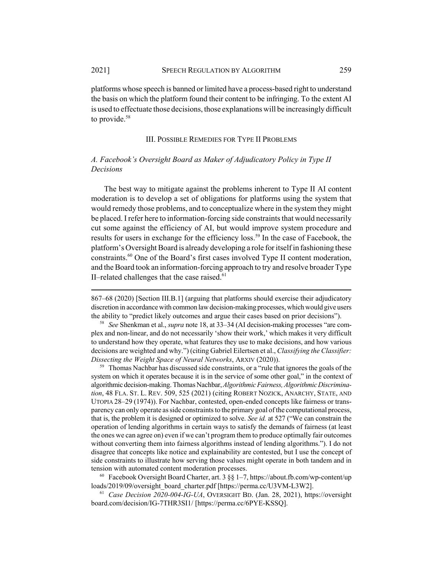platforms whose speech is banned or limited have a process-based right to understand the basis on which the platform found their content to be infringing. To the extent AI is used to effectuate those decisions, those explanations will be increasingly difficult to provide.<sup>58</sup>

### III. POSSIBLE REMEDIES FOR TYPE II PROBLEMS

# *A. Facebook's Oversight Board as Maker of Adjudicatory Policy in Type II Decisions*

The best way to mitigate against the problems inherent to Type II AI content moderation is to develop a set of obligations for platforms using the system that would remedy those problems, and to conceptualize where in the system they might be placed. I refer here to information-forcing side constraints that would necessarily cut some against the efficiency of AI, but would improve system procedure and results for users in exchange for the efficiency loss.<sup>59</sup> In the case of Facebook, the platform's Oversight Board is already developing a role for itself in fashioning these constraints.60 One of the Board's first cases involved Type II content moderation, and the Board took an information-forcing approach to try and resolve broader Type II–related challenges that the case raised. $61$ 

867–68 (2020) [Section III.B.1] (arguing that platforms should exercise their adjudicatory discretion in accordance with common law decision-making processes, which would give users the ability to "predict likely outcomes and argue their cases based on prior decisions").

<sup>58</sup> *See* Shenkman et al., *supra* note 18, at 33–34 (AI decision-making processes "are complex and non-linear, and do not necessarily 'show their work,' which makes it very difficult to understand how they operate, what features they use to make decisions, and how various decisions are weighted and why.") (citing Gabriel Eilertsen et al., *Classifying the Classifier: Dissecting the Weight Space of Neural Networks*, ARXIV (2020)).

 $59$  Thomas Nachbar has discussed side constraints, or a "rule that ignores the goals of the system on which it operates because it is in the service of some other goal," in the context of algorithmic decision-making. Thomas Nachbar, *Algorithmic Fairness,Algorithmic Discrimination*, 48 FLA. ST. L. REV. 509, 525 (2021) (citing ROBERT NOZICK, ANARCHY, STATE, AND UTOPIA 28–29 (1974)). For Nachbar, contested, open-ended concepts like fairness or transparency can only operate as side constraints to the primary goal of the computational process, that is, the problem it is designed or optimized to solve. *See id.* at 527 ("We can constrain the operation of lending algorithms in certain ways to satisfy the demands of fairness (at least the ones we can agree on) even if we can't program them to produce optimally fair outcomes without converting them into fairness algorithms instead of lending algorithms."). I do not disagree that concepts like notice and explainability are contested, but I use the concept of side constraints to illustrate how serving those values might operate in both tandem and in tension with automated content moderation processes.

<sup>60</sup> Facebook Oversight Board Charter, art. 3 §§ 1-7, https://about.fb.com/wp-content/up loads/2019/09/oversight\_board\_charter.pdf [https://perma.cc/U3VM-L3W2].

<sup>61</sup> *Case Decision 2020-004-IG-UA*, OVERSIGHT BD. (Jan. 28, 2021), https://oversight board.com/decision/IG-7THR3SI1/ [https://perma.cc/6PYE-KSSQ].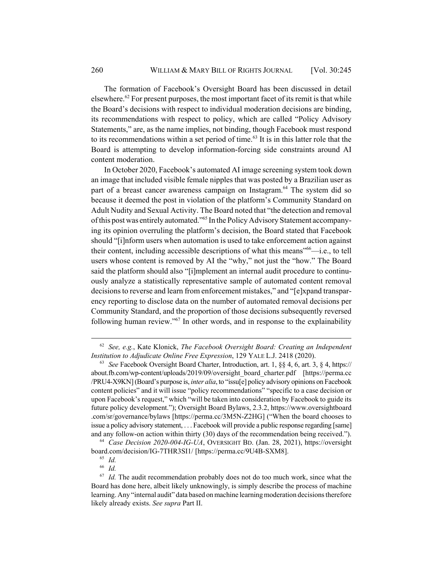The formation of Facebook's Oversight Board has been discussed in detail elsewhere.<sup>62</sup> For present purposes, the most important facet of its remit is that while the Board's decisions with respect to individual moderation decisions are binding, its recommendations with respect to policy, which are called "Policy Advisory Statements," are, as the name implies, not binding, though Facebook must respond to its recommendations within a set period of time.<sup>63</sup> It is in this latter role that the Board is attempting to develop information-forcing side constraints around AI content moderation.

In October 2020, Facebook's automated AI image screening system took down an image that included visible female nipples that was posted by a Brazilian user as part of a breast cancer awareness campaign on Instagram.<sup>64</sup> The system did so because it deemed the post in violation of the platform's Community Standard on Adult Nudity and Sexual Activity. The Board noted that "the detection and removal of this post was entirely automated."65 In the Policy Advisory Statement accompanying its opinion overruling the platform's decision, the Board stated that Facebook should "[i]nform users when automation is used to take enforcement action against their content, including accessible descriptions of what this means<sup>"66</sup>—i.e., to tell users whose content is removed by AI the "why," not just the "how." The Board said the platform should also "[i]mplement an internal audit procedure to continuously analyze a statistically representative sample of automated content removal decisions to reverse and learn from enforcement mistakes," and "[e]xpand transparency reporting to disclose data on the number of automated removal decisions per Community Standard, and the proportion of those decisions subsequently reversed following human review."67 In other words, and in response to the explainability

<sup>62</sup> *See, e.g.*, Kate Klonick, *The Facebook Oversight Board: Creating an Independent Institution to Adjudicate Online Free Expression*, 129 YALE L.J. 2418 (2020).

<sup>63</sup> *See* Facebook Oversight Board Charter, Introduction, art. 1, §§ 4, 6, art. 3, § 4, https:// about.fb.com/wp-content/uploads/2019/09/oversight\_board\_charter.pdf [https://perma.cc /PRU4-X9KN] (Board's purpose is, *inter alia*, to "issu[e] policy advisory opinions on Facebook content policies" and it will issue "policy recommendations" "specific to a case decision or upon Facebook's request," which "will be taken into consideration by Facebook to guide its future policy development."); Oversight Board Bylaws, 2.3.2, https://www.oversightboard .com/sr/governance/bylaws [https://perma.cc/3M5N-Z2HG] ("When the board chooses to issue a policy advisory statement, . . . Facebook will provide a public response regarding [same] and any follow-on action within thirty (30) days of the recommendation being received.").

<sup>64</sup> *Case Decision 2020-004-IG-UA*, OVERSIGHT BD. (Jan. 28, 2021), https://oversight board.com/decision/IG-7THR3SI1/ [https://perma.cc/9U4B-SXM8].

<sup>65</sup> *Id.*

<sup>66</sup> *Id.*

 $67$  *Id.* The audit recommendation probably does not do too much work, since what the Board has done here, albeit likely unknowingly, is simply describe the process of machine learning. Any "internal audit" data based on machine learning moderation decisions therefore likely already exists. *See supra* Part II.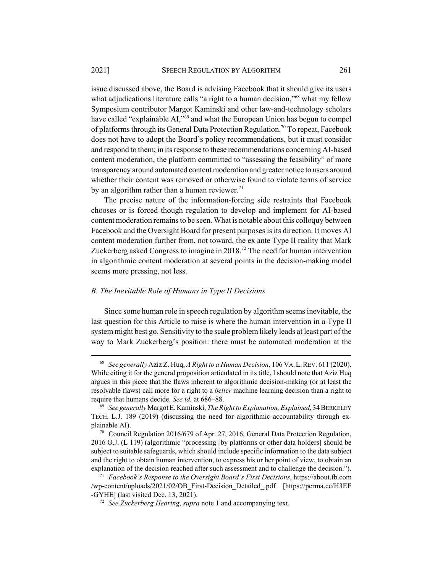issue discussed above, the Board is advising Facebook that it should give its users what adjudications literature calls "a right to a human decision,"<sup>68</sup> what my fellow Symposium contributor Margot Kaminski and other law-and-technology scholars have called "explainable AI,"<sup>69</sup> and what the European Union has begun to compel of platforms through its General Data Protection Regulation.<sup>70</sup> To repeat, Facebook does not have to adopt the Board's policy recommendations, but it must consider and respond to them; in its response to these recommendations concerning AI-based content moderation, the platform committed to "assessing the feasibility" of more transparency around automated content moderation and greater notice to users around whether their content was removed or otherwise found to violate terms of service by an algorithm rather than a human reviewer.<sup>71</sup>

The precise nature of the information-forcing side restraints that Facebook chooses or is forced though regulation to develop and implement for AI-based content moderation remains to be seen. What is notable about this colloquy between Facebook and the Oversight Board for present purposes is its direction. It moves AI content moderation further from, not toward, the ex ante Type II reality that Mark Zuckerberg asked Congress to imagine in  $2018$ .<sup>72</sup> The need for human intervention in algorithmic content moderation at several points in the decision-making model seems more pressing, not less.

### *B. The Inevitable Role of Humans in Type II Decisions*

Since some human role in speech regulation by algorithm seems inevitable, the last question for this Article to raise is where the human intervention in a Type II system might best go. Sensitivity to the scale problem likely leads at least part of the way to Mark Zuckerberg's position: there must be automated moderation at the

<sup>68</sup> *See generally* Aziz Z. Huq, *A Right to a Human Decision*, 106 VA.L.REV. 611 (2020). While citing it for the general proposition articulated in its title, I should note that Aziz Huq argues in this piece that the flaws inherent to algorithmic decision-making (or at least the resolvable flaws) call more for a right to a *better* machine learning decision than a right to require that humans decide. *See id.* at 686–88.

<sup>69</sup> *See generally* Margot E. Kaminski, *The Right to Explanation, Explained*, 34 BERKELEY TECH. L.J. 189 (2019) (discussing the need for algorithmic accountability through explainable AI).

<sup>70</sup> Council Regulation 2016/679 of Apr. 27, 2016, General Data Protection Regulation, 2016 O.J. (L 119) (algorithmic "processing [by platforms or other data holders] should be subject to suitable safeguards, which should include specific information to the data subject and the right to obtain human intervention, to express his or her point of view, to obtain an explanation of the decision reached after such assessment and to challenge the decision.").

<sup>71</sup> *Facebook's Response to the Oversight Board's First Decisions*, https://about.fb.com /wp-content/uploads/2021/02/OB\_First-Decision\_Detailed\_.pdf [https://perma.cc/H3EE -GYHE] (last visited Dec. 13, 2021).

<sup>72</sup> *See Zuckerberg Hearing*, *supra* note 1 and accompanying text.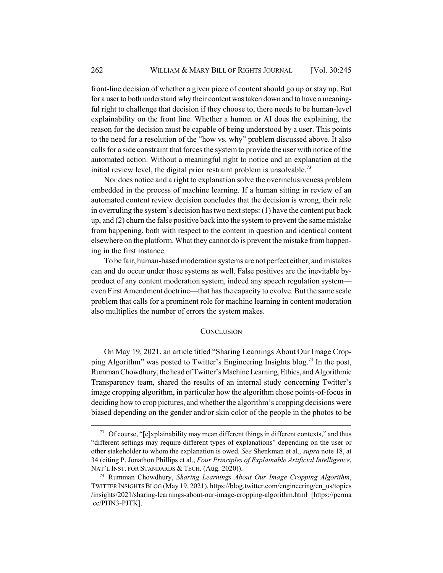front-line decision of whether a given piece of content should go up or stay up. But for a user to both understand why their content was taken down and to have a meaningful right to challenge that decision if they choose to, there needs to be human-level explainability on the front line. Whether a human or AI does the explaining, the reason for the decision must be capable of being understood by a user. This points to the need for a resolution of the "how vs. why" problem discussed above. It also calls for a side constraint that forces the system to provide the user with notice of the automated action. Without a meaningful right to notice and an explanation at the initial review level, the digital prior restraint problem is unsolvable.<sup>73</sup>

Nor does notice and a right to explanation solve the overinclusiveness problem embedded in the process of machine learning. If a human sitting in review of an automated content review decision concludes that the decision is wrong, their role in overruling the system's decision has two next steps: (1) have the content put back up, and (2) churn the false positive back into the system to prevent the same mistake from happening, both with respect to the content in question and identical content elsewhere on the platform. What they cannot do is prevent the mistake from happening in the first instance.

To be fair, human-based moderation systems are not perfect either, and mistakes can and do occur under those systems as well. False positives are the inevitable byproduct of any content moderation system, indeed any speech regulation system even First Amendment doctrine—that has the capacity to evolve. But the same scale problem that calls for a prominent role for machine learning in content moderation also multiplies the number of errors the system makes.

### **CONCLUSION**

On May 19, 2021, an article titled "Sharing Learnings About Our Image Cropping Algorithm" was posted to Twitter's Engineering Insights blog.<sup>74</sup> In the post, Rumman Chowdhury, the head of Twitter's Machine Learning, Ethics, and Algorithmic Transparency team, shared the results of an internal study concerning Twitter's image cropping algorithm, in particular how the algorithm chose points-of-focus in deciding how to crop pictures, and whether the algorithm's cropping decisions were biased depending on the gender and/or skin color of the people in the photos to be

<sup>&</sup>lt;sup>73</sup> Of course, "[e]xplainability may mean different things in different contexts," and thus "different settings may require different types of explanations" depending on the user or other stakeholder to whom the explanation is owed. *See* Shenkman et al.*, supra* note 18, at 34 (citing P. Jonathon Phillips et al., *Four Principles of Explainable Artificial Intelligence*, NAT'L INST. FOR STANDARDS & TECH. (Aug. 2020)).

<sup>74</sup> Rumman Chowdhury, *Sharing Learnings About Our Image Cropping Algorithm*, TWITTER INSIGHTS BLOG (May 19, 2021), https://blog.twitter.com/engineering/en\_us/topics /insights/2021/sharing-learnings-about-our-image-cropping-algorithm.html [https://perma .cc/PHN3-PJTK].